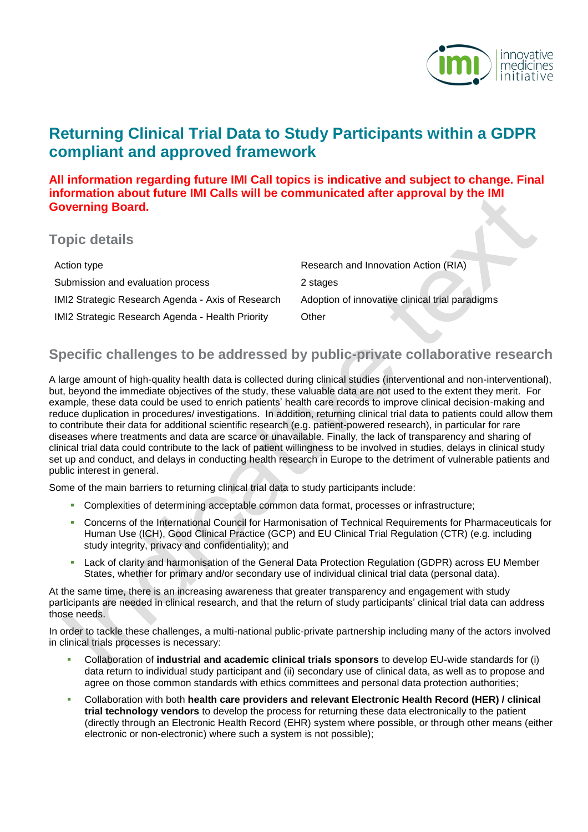

# **Returning Clinical Trial Data to Study Participants within a GDPR compliant and approved framework**

**All information regarding future IMI Call topics is indicative and subject to change. Final information about future IMI Calls will be communicated after approval by the IMI Governing Board.**

| <b>Topic details</b>                              |                                                 |
|---------------------------------------------------|-------------------------------------------------|
| Action type                                       | Research and Innovation Action (RIA)            |
| Submission and evaluation process                 | 2 stages                                        |
| IMI2 Strategic Research Agenda - Axis of Research | Adoption of innovative clinical trial paradigms |
| IMI2 Strategic Research Agenda - Health Priority  | Other                                           |

## **Specific challenges to be addressed by public-private collaborative research**

A large amount of high-quality health data is collected during clinical studies (interventional and non-interventional), but, beyond the immediate objectives of the study, these valuable data are not used to the extent they merit. For example, these data could be used to enrich patients' health care records to improve clinical decision-making and reduce duplication in procedures/ investigations. In addition, returning clinical trial data to patients could allow them to contribute their data for additional scientific research (e.g. patient-powered research), in particular for rare diseases where treatments and data are scarce or unavailable. Finally, the lack of transparency and sharing of clinical trial data could contribute to the lack of patient willingness to be involved in studies, delays in clinical study set up and conduct, and delays in conducting health research in Europe to the detriment of vulnerable patients and public interest in general.

Some of the main barriers to returning clinical trial data to study participants include:

- Complexities of determining acceptable common data format, processes or infrastructure;
- Concerns of the International Council for Harmonisation of Technical Requirements for Pharmaceuticals for Human Use (ICH), Good Clinical Practice (GCP) and EU Clinical Trial Regulation (CTR) (e.g. including study integrity, privacy and confidentiality); and
- Lack of clarity and harmonisation of the General Data Protection Regulation (GDPR) across EU Member States, whether for primary and/or secondary use of individual clinical trial data (personal data).

At the same time, there is an increasing awareness that greater transparency and engagement with study participants are needed in clinical research, and that the return of study participants' clinical trial data can address those needs.

In order to tackle these challenges, a multi-national public-private partnership including many of the actors involved in clinical trials processes is necessary:

- Collaboration of **industrial and academic clinical trials sponsors** to develop EU-wide standards for (i) data return to individual study participant and (ii) secondary use of clinical data, as well as to propose and agree on those common standards with ethics committees and personal data protection authorities;
- Collaboration with both **health care providers and relevant Electronic Health Record (HER) / clinical trial technology vendors** to develop the process for returning these data electronically to the patient (directly through an Electronic Health Record (EHR) system where possible, or through other means (either electronic or non-electronic) where such a system is not possible);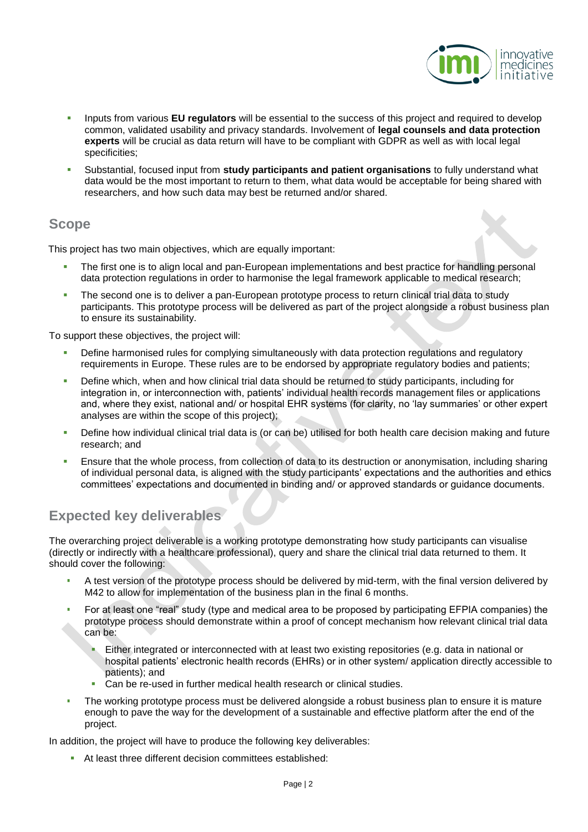

- **Inputs from various EU regulators** will be essential to the success of this project and required to develop common, validated usability and privacy standards. Involvement of **legal counsels and data protection experts** will be crucial as data return will have to be compliant with GDPR as well as with local legal specificities;
- Substantial, focused input from **study participants and patient organisations** to fully understand what data would be the most important to return to them, what data would be acceptable for being shared with researchers, and how such data may best be returned and/or shared.

## **Scope**

This project has two main objectives, which are equally important:

- The first one is to align local and pan-European implementations and best practice for handling personal data protection regulations in order to harmonise the legal framework applicable to medical research;
- The second one is to deliver a pan-European prototype process to return clinical trial data to study participants. This prototype process will be delivered as part of the project alongside a robust business plan to ensure its sustainability.

To support these objectives, the project will:

- Define harmonised rules for complying simultaneously with data protection regulations and regulatory requirements in Europe. These rules are to be endorsed by appropriate regulatory bodies and patients;
- Define which, when and how clinical trial data should be returned to study participants, including for integration in, or interconnection with, patients' individual health records management files or applications and, where they exist, national and/ or hospital EHR systems (for clarity, no 'lay summaries' or other expert analyses are within the scope of this project);
- Define how individual clinical trial data is (or can be) utilised for both health care decision making and future research; and
- Ensure that the whole process, from collection of data to its destruction or anonymisation, including sharing of individual personal data, is aligned with the study participants' expectations and the authorities and ethics committees' expectations and documented in binding and/ or approved standards or guidance documents.

# **Expected key deliverables**

The overarching project deliverable is a working prototype demonstrating how study participants can visualise (directly or indirectly with a healthcare professional), query and share the clinical trial data returned to them. It should cover the following:

- A test version of the prototype process should be delivered by mid-term, with the final version delivered by M42 to allow for implementation of the business plan in the final 6 months.
- For at least one "real" study (type and medical area to be proposed by participating EFPIA companies) the prototype process should demonstrate within a proof of concept mechanism how relevant clinical trial data can be:
	- Either integrated or interconnected with at least two existing repositories (e.g. data in national or hospital patients' electronic health records (EHRs) or in other system/ application directly accessible to patients); and
	- **Can be re-used in further medical health research or clinical studies.**
- The working prototype process must be delivered alongside a robust business plan to ensure it is mature enough to pave the way for the development of a sustainable and effective platform after the end of the project.

In addition, the project will have to produce the following key deliverables:

At least three different decision committees established: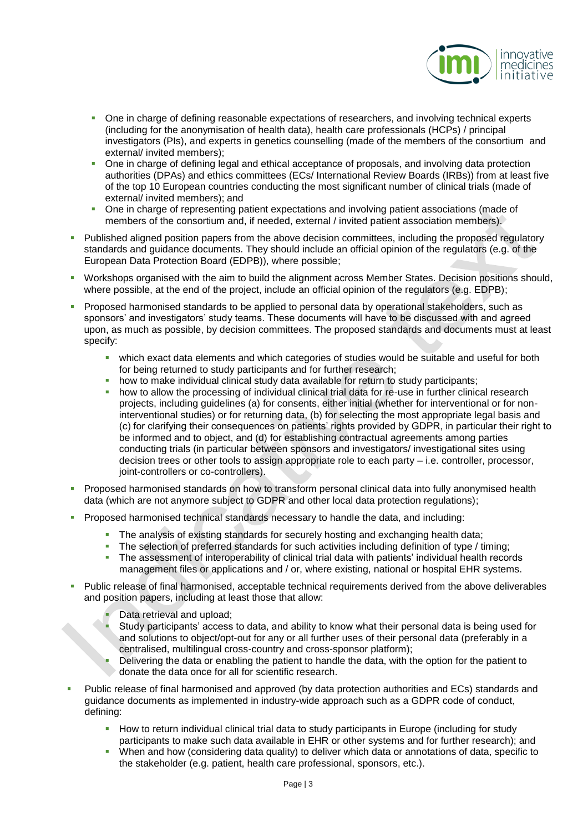

- One in charge of defining reasonable expectations of researchers, and involving technical experts (including for the anonymisation of health data), health care professionals (HCPs) / principal investigators (PIs), and experts in genetics counselling (made of the members of the consortium and external/ invited members);
- One in charge of defining legal and ethical acceptance of proposals, and involving data protection authorities (DPAs) and ethics committees (ECs/ International Review Boards (IRBs)) from at least five of the top 10 European countries conducting the most significant number of clinical trials (made of external/ invited members); and
- One in charge of representing patient expectations and involving patient associations (made of members of the consortium and, if needed, external / invited patient association members).
- **Published aligned position papers from the above decision committees, including the proposed regulatory** standards and guidance documents. They should include an official opinion of the regulators (e.g. of the European Data Protection Board (EDPB)), where possible;
- Workshops organised with the aim to build the alignment across Member States. Decision positions should, where possible, at the end of the project, include an official opinion of the regulators (e.g. EDPB);
- Proposed harmonised standards to be applied to personal data by operational stakeholders, such as sponsors' and investigators' study teams. These documents will have to be discussed with and agreed upon, as much as possible, by decision committees. The proposed standards and documents must at least specify:
	- which exact data elements and which categories of studies would be suitable and useful for both for being returned to study participants and for further research;
	- how to make individual clinical study data available for return to study participants;
	- how to allow the processing of individual clinical trial data for re-use in further clinical research projects, including guidelines (a) for consents, either initial (whether for interventional or for noninterventional studies) or for returning data, (b) for selecting the most appropriate legal basis and (c) for clarifying their consequences on patients' rights provided by GDPR, in particular their right to be informed and to object, and (d) for establishing contractual agreements among parties conducting trials (in particular between sponsors and investigators/ investigational sites using decision trees or other tools to assign appropriate role to each party – i.e. controller, processor, joint-controllers or co-controllers).
- **Proposed harmonised standards on how to transform personal clinical data into fully anonymised health** data (which are not anymore subject to GDPR and other local data protection regulations);
	- Proposed harmonised technical standards necessary to handle the data, and including:
		- The analysis of existing standards for securely hosting and exchanging health data;
		- The selection of preferred standards for such activities including definition of type / timing;<br>The assessment of interoperability of clinical trial data with patients' individual health record
		- The assessment of interoperability of clinical trial data with patients' individual health records management files or applications and / or, where existing, national or hospital EHR systems.
- Public release of final harmonised, acceptable technical requirements derived from the above deliverables and position papers, including at least those that allow:
	- Data retrieval and upload;
	- Study participants' access to data, and ability to know what their personal data is being used for and solutions to object/opt-out for any or all further uses of their personal data (preferably in a centralised, multilingual cross-country and cross-sponsor platform);
	- Delivering the data or enabling the patient to handle the data, with the option for the patient to donate the data once for all for scientific research.
- Public release of final harmonised and approved (by data protection authorities and ECs) standards and guidance documents as implemented in industry-wide approach such as a GDPR code of conduct, defining:
	- How to return individual clinical trial data to study participants in Europe (including for study participants to make such data available in EHR or other systems and for further research); and
	- When and how (considering data quality) to deliver which data or annotations of data, specific to the stakeholder (e.g. patient, health care professional, sponsors, etc.).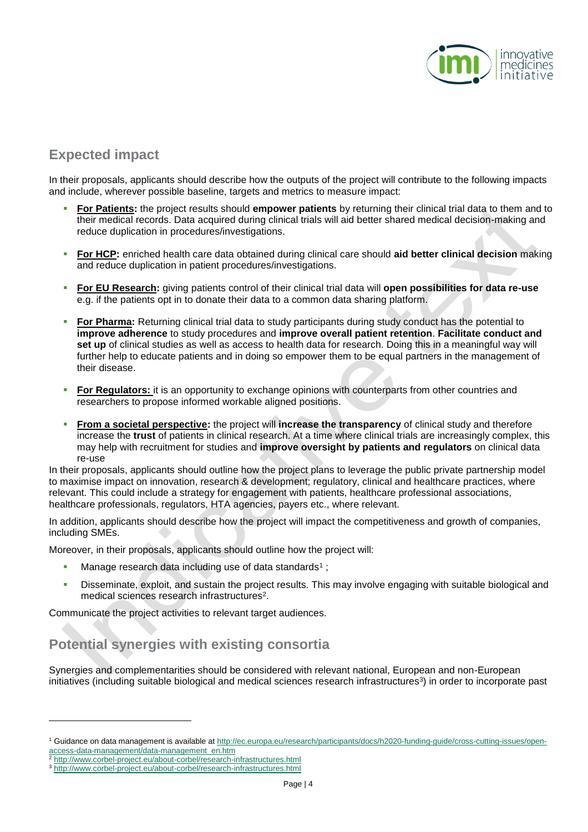

## **Expected impact**

In their proposals, applicants should describe how the outputs of the project will contribute to the following impacts and include, wherever possible baseline, targets and metrics to measure impact:

- **For Patients:** the project results should **empower patients** by returning their clinical trial data to them and to their medical records. Data acquired during clinical trials will aid better shared medical decision-making and reduce duplication in procedures/investigations.
- **For HCP:** enriched health care data obtained during clinical care should **aid better clinical decision** making and reduce duplication in patient procedures/investigations.
- **For EU Research:** giving patients control of their clinical trial data will **open possibilities for data re-use**  e.g. if the patients opt in to donate their data to a common data sharing platform.
- **For Pharma:** Returning clinical trial data to study participants during study conduct has the potential to **improve adherence** to study procedures and **improve overall patient retention**. **Facilitate conduct and set up** of clinical studies as well as access to health data for research. Doing this in a meaningful way will further help to educate patients and in doing so empower them to be equal partners in the management of their disease.
- **For Regulators:** it is an opportunity to exchange opinions with counterparts from other countries and researchers to propose informed workable aligned positions.
- **From a societal perspective:** the project will **increase the transparency** of clinical study and therefore increase the **trust** of patients in clinical research. At a time where clinical trials are increasingly complex, this may help with recruitment for studies and **improve oversight by patients and regulators** on clinical data re-use

In their proposals, applicants should outline how the project plans to leverage the public private partnership model to maximise impact on innovation, research & development; regulatory, clinical and healthcare practices, where relevant. This could include a strategy for engagement with patients, healthcare professional associations, healthcare professionals, regulators, HTA agencies, payers etc., where relevant.

In addition, applicants should describe how the project will impact the competitiveness and growth of companies, including SMEs.

Moreover, in their proposals, applicants should outline how the project will:

- $\blacksquare$  Manage research data including use of data standards<sup>1</sup>;
- Disseminate, exploit, and sustain the project results. This may involve engaging with suitable biological and medical sciences research infrastructures<sup>2</sup>.

Communicate the project activities to relevant target audiences.

## **Potential synergies with existing consortia**

Synergies and complementarities should be considered with relevant national, European and non-European initiatives (including suitable biological and medical sciences research infrastructures<sup>3</sup>) in order to incorporate past

l

<sup>1</sup> Guidance on data management is available a[t http://ec.europa.eu/research/participants/docs/h2020-funding-guide/cross-cutting-issues/open](http://ec.europa.eu/research/participants/docs/h2020-funding-guide/cross-cutting-issues/open-access-data-management/data-management_en.htm)[access-data-management/data-management\\_en.htm](http://ec.europa.eu/research/participants/docs/h2020-funding-guide/cross-cutting-issues/open-access-data-management/data-management_en.htm)

<http://www.corbel-project.eu/about-corbel/research-infrastructures.html>

<sup>&</sup>lt;sup>3</sup> <http://www.corbel-project.eu/about-corbel/research-infrastructures.html>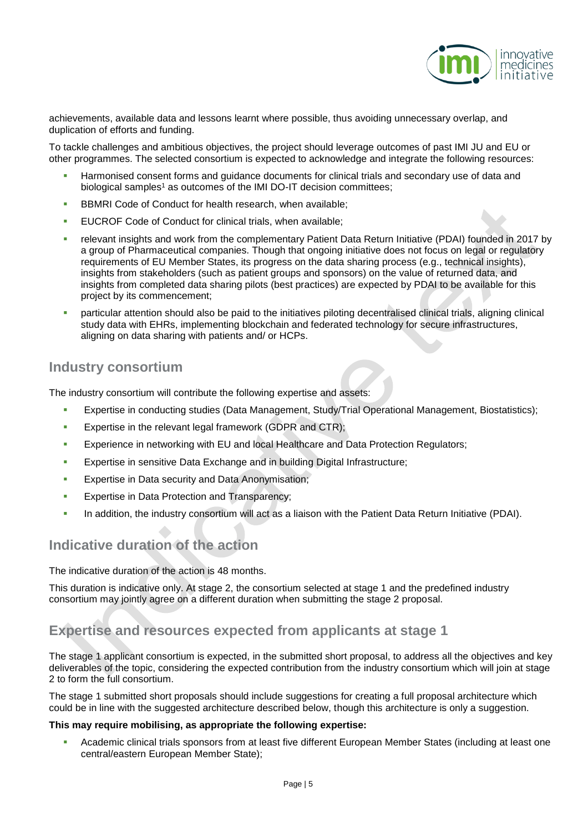

achievements, available data and lessons learnt where possible, thus avoiding unnecessary overlap, and duplication of efforts and funding.

To tackle challenges and ambitious objectives, the project should leverage outcomes of past IMI JU and EU or other programmes. The selected consortium is expected to acknowledge and integrate the following resources:

- Harmonised consent forms and guidance documents for clinical trials and secondary use of data and biological samples<sup>1</sup> as outcomes of the IMI DO-IT decision committees;
- BBMRI Code of Conduct for health research, when available;
- EUCROF Code of Conduct for clinical trials, when available;
- relevant insights and work from the complementary Patient Data Return Initiative (PDAI) founded in 2017 by a group of Pharmaceutical companies. Though that ongoing initiative does not focus on legal or regulatory requirements of EU Member States, its progress on the data sharing process (e.g., technical insights), insights from stakeholders (such as patient groups and sponsors) on the value of returned data, and insights from completed data sharing pilots (best practices) are expected by PDAI to be available for this project by its commencement;
- particular attention should also be paid to the initiatives piloting decentralised clinical trials, aligning clinical study data with EHRs, implementing blockchain and federated technology for secure infrastructures, aligning on data sharing with patients and/ or HCPs.

## **Industry consortium**

The industry consortium will contribute the following expertise and assets:

- Expertise in conducting studies (Data Management, Study/Trial Operational Management, Biostatistics);
- **Expertise in the relevant legal framework (GDPR and CTR);**
- Experience in networking with EU and local Healthcare and Data Protection Regulators;
- **Expertise in sensitive Data Exchange and in building Digital Infrastructure;**
- **Expertise in Data security and Data Anonymisation;**
- Expertise in Data Protection and Transparency;
- In addition, the industry consortium will act as a liaison with the Patient Data Return Initiative (PDAI).

## **Indicative duration of the action**

The indicative duration of the action is 48 months.

This duration is indicative only. At stage 2, the consortium selected at stage 1 and the predefined industry consortium may jointly agree on a different duration when submitting the stage 2 proposal.

## **Expertise and resources expected from applicants at stage 1**

The stage 1 applicant consortium is expected, in the submitted short proposal, to address all the objectives and key deliverables of the topic, considering the expected contribution from the industry consortium which will join at stage 2 to form the full consortium.

The stage 1 submitted short proposals should include suggestions for creating a full proposal architecture which could be in line with the suggested architecture described below, though this architecture is only a suggestion.

#### **This may require mobilising, as appropriate the following expertise:**

 Academic clinical trials sponsors from at least five different European Member States (including at least one central/eastern European Member State);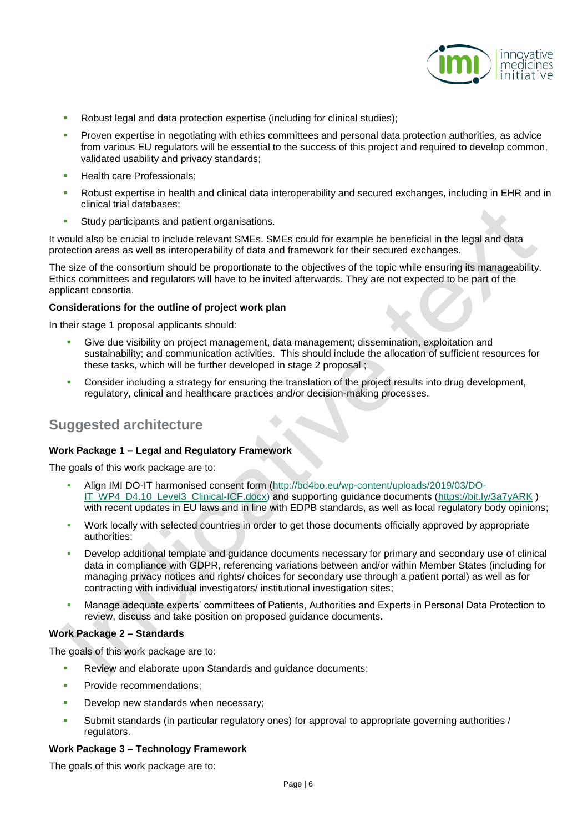

- Robust legal and data protection expertise (including for clinical studies);
- Proven expertise in negotiating with ethics committees and personal data protection authorities, as advice from various EU regulators will be essential to the success of this project and required to develop common, validated usability and privacy standards;
- Health care Professionals;
- Robust expertise in health and clinical data interoperability and secured exchanges, including in EHR and in clinical trial databases;
- Study participants and patient organisations.

It would also be crucial to include relevant SMEs. SMEs could for example be beneficial in the legal and data protection areas as well as interoperability of data and framework for their secured exchanges.

The size of the consortium should be proportionate to the objectives of the topic while ensuring its manageability. Ethics committees and regulators will have to be invited afterwards. They are not expected to be part of the applicant consortia.

#### **Considerations for the outline of project work plan**

In their stage 1 proposal applicants should:

- Give due visibility on project management, data management; dissemination, exploitation and sustainability; and communication activities. This should include the allocation of sufficient resources for these tasks, which will be further developed in stage 2 proposal ;
- **Consider including a strategy for ensuring the translation of the project results into drug development,** regulatory, clinical and healthcare practices and/or decision-making processes.

## **Suggested architecture**

#### **Work Package 1 – Legal and Regulatory Framework**

The goals of this work package are to:

- Align IMI DO-IT harmonised consent form [\(http://bd4bo.eu/wp-content/uploads/2019/03/DO-](https://urldefense.proofpoint.com/v2/url?u=http-3A__bd4bo.eu_wp-2Dcontent_uploads_2019_03_DO-2DIT-5FWP4-5FD4.10-5FLevel3-5FClinical-2DICF.docx&d=DwMFAw&c=Dbf9zoswcQ-CRvvI7VX5j3HvibIuT3ZiarcKl5qtMPo&r=EV7UZpomrmLw0hO7gO7B4rhYgdgFo_lDeeaqBHU6ElU&m=MS86TyxFIwmd-qgyBgfzYVII96pwYMK-ZIErE1Sx-YA&s=yYTJy9kHm82f92_DKaha7_Ra6vqloGesDRUNUMzbvCc&e=)[IT\\_WP4\\_D4.10\\_Level3\\_Clinical-ICF.docx\)](https://urldefense.proofpoint.com/v2/url?u=http-3A__bd4bo.eu_wp-2Dcontent_uploads_2019_03_DO-2DIT-5FWP4-5FD4.10-5FLevel3-5FClinical-2DICF.docx&d=DwMFAw&c=Dbf9zoswcQ-CRvvI7VX5j3HvibIuT3ZiarcKl5qtMPo&r=EV7UZpomrmLw0hO7gO7B4rhYgdgFo_lDeeaqBHU6ElU&m=MS86TyxFIwmd-qgyBgfzYVII96pwYMK-ZIErE1Sx-YA&s=yYTJy9kHm82f92_DKaha7_Ra6vqloGesDRUNUMzbvCc&e=) and supporting guidance documents [\(https://bit.ly/3a7yARK](https://bit.ly/3a7yARK)) with recent updates in EU laws and in line with EDPB standards, as well as local regulatory body opinions;
- Work locally with selected countries in order to get those documents officially approved by appropriate authorities;
- Develop additional template and guidance documents necessary for primary and secondary use of clinical data in compliance with GDPR, referencing variations between and/or within Member States (including for managing privacy notices and rights/ choices for secondary use through a patient portal) as well as for contracting with individual investigators/ institutional investigation sites;
- Manage adequate experts' committees of Patients, Authorities and Experts in Personal Data Protection to review, discuss and take position on proposed guidance documents.

#### **Work Package 2 – Standards**

The goals of this work package are to:

- Review and elaborate upon Standards and guidance documents;
- Provide recommendations;
- Develop new standards when necessary;
- Submit standards (in particular regulatory ones) for approval to appropriate governing authorities / regulators.

#### **Work Package 3 – Technology Framework**

The goals of this work package are to: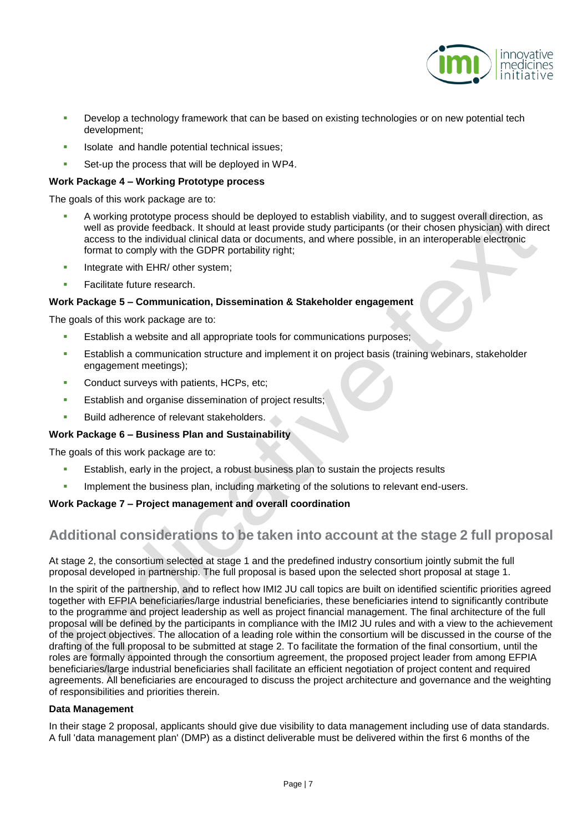

- Develop a technology framework that can be based on existing technologies or on new potential tech development;
- Isolate and handle potential technical issues;
- Set-up the process that will be deployed in WP4.

#### **Work Package 4 – Working Prototype process**

The goals of this work package are to:

- A working prototype process should be deployed to establish viability, and to suggest overall direction, as well as provide feedback. It should at least provide study participants (or their chosen physician) with direct access to the individual clinical data or documents, and where possible, in an interoperable electronic format to comply with the GDPR portability right;
- Integrate with EHR/ other system;
- Facilitate future research.

#### **Work Package 5 – Communication, Dissemination & Stakeholder engagement**

The goals of this work package are to:

- Establish a website and all appropriate tools for communications purposes;
- **Establish a communication structure and implement it on project basis (training webinars, stakeholder** engagement meetings);
- Conduct surveys with patients, HCPs, etc;
- Establish and organise dissemination of project results;
- Build adherence of relevant stakeholders.

#### **Work Package 6 – Business Plan and Sustainability**

The goals of this work package are to:

- Establish, early in the project, a robust business plan to sustain the projects results
- Implement the business plan, including marketing of the solutions to relevant end-users.

#### **Work Package 7 – Project management and overall coordination**

## **Additional considerations to be taken into account at the stage 2 full proposal**

At stage 2, the consortium selected at stage 1 and the predefined industry consortium jointly submit the full proposal developed in partnership. The full proposal is based upon the selected short proposal at stage 1.

In the spirit of the partnership, and to reflect how IMI2 JU call topics are built on identified scientific priorities agreed together with EFPIA beneficiaries/large industrial beneficiaries, these beneficiaries intend to significantly contribute to the programme and project leadership as well as project financial management. The final architecture of the full proposal will be defined by the participants in compliance with the IMI2 JU rules and with a view to the achievement of the project objectives. The allocation of a leading role within the consortium will be discussed in the course of the drafting of the full proposal to be submitted at stage 2. To facilitate the formation of the final consortium, until the roles are formally appointed through the consortium agreement, the proposed project leader from among EFPIA beneficiaries/large industrial beneficiaries shall facilitate an efficient negotiation of project content and required agreements. All beneficiaries are encouraged to discuss the project architecture and governance and the weighting of responsibilities and priorities therein.

#### **Data Management**

In their stage 2 proposal, applicants should give due visibility to data management including use of data standards. A full 'data management plan' (DMP) as a distinct deliverable must be delivered within the first 6 months of the